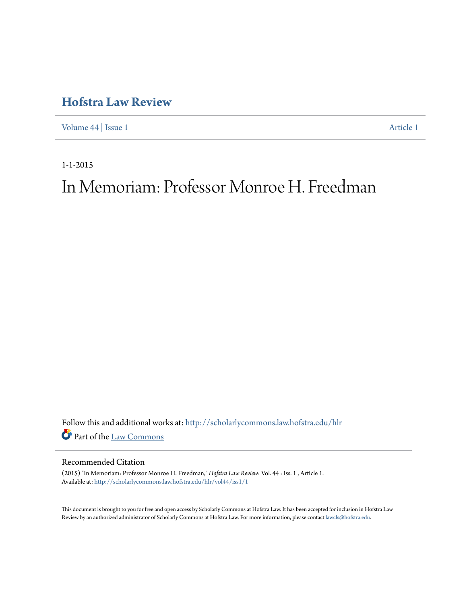## **[Hofstra Law Review](http://scholarlycommons.law.hofstra.edu/hlr?utm_source=scholarlycommons.law.hofstra.edu%2Fhlr%2Fvol44%2Fiss1%2F1&utm_medium=PDF&utm_campaign=PDFCoverPages)**

[Volume 44](http://scholarlycommons.law.hofstra.edu/hlr/vol44?utm_source=scholarlycommons.law.hofstra.edu%2Fhlr%2Fvol44%2Fiss1%2F1&utm_medium=PDF&utm_campaign=PDFCoverPages) | [Issue 1](http://scholarlycommons.law.hofstra.edu/hlr/vol44/iss1?utm_source=scholarlycommons.law.hofstra.edu%2Fhlr%2Fvol44%2Fiss1%2F1&utm_medium=PDF&utm_campaign=PDFCoverPages) [Article 1](http://scholarlycommons.law.hofstra.edu/hlr/vol44/iss1/1?utm_source=scholarlycommons.law.hofstra.edu%2Fhlr%2Fvol44%2Fiss1%2F1&utm_medium=PDF&utm_campaign=PDFCoverPages)

1-1-2015

# In Memoriam: Professor Monroe H. Freedman

Follow this and additional works at: [http://scholarlycommons.law.hofstra.edu/hlr](http://scholarlycommons.law.hofstra.edu/hlr?utm_source=scholarlycommons.law.hofstra.edu%2Fhlr%2Fvol44%2Fiss1%2F1&utm_medium=PDF&utm_campaign=PDFCoverPages) Part of the [Law Commons](http://network.bepress.com/hgg/discipline/578?utm_source=scholarlycommons.law.hofstra.edu%2Fhlr%2Fvol44%2Fiss1%2F1&utm_medium=PDF&utm_campaign=PDFCoverPages)

## Recommended Citation

(2015) "In Memoriam: Professor Monroe H. Freedman," *Hofstra Law Review*: Vol. 44 : Iss. 1 , Article 1. Available at: [http://scholarlycommons.law.hofstra.edu/hlr/vol44/iss1/1](http://scholarlycommons.law.hofstra.edu/hlr/vol44/iss1/1?utm_source=scholarlycommons.law.hofstra.edu%2Fhlr%2Fvol44%2Fiss1%2F1&utm_medium=PDF&utm_campaign=PDFCoverPages)

This document is brought to you for free and open access by Scholarly Commons at Hofstra Law. It has been accepted for inclusion in Hofstra Law Review by an authorized administrator of Scholarly Commons at Hofstra Law. For more information, please contact [lawcls@hofstra.edu](mailto:lawcls@hofstra.edu).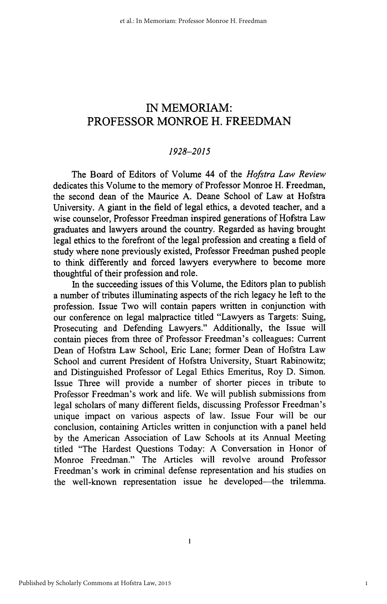## **IN** MEMORIAM: PROFESSOR MONROE H. FREEDMAN

### *1928-2015*

The Board of Editors of Volume 44 of the *Hofstra Law Review* dedicates this Volume to the memory of Professor Monroe H. Freedman, the second dean of the Maurice A. Deane School of Law at Hofstra University. A giant in the field of legal ethics, a devoted teacher, and a wise counselor, Professor Freedman inspired generations of Hofstra Law graduates and lawyers around the country. Regarded as having brought legal ethics to the forefront of the legal profession and creating a field of study where none previously existed, Professor Freedman pushed people to think differently and forced lawyers everywhere to become more thoughtful of their profession and role.

In the succeeding issues of this Volume, the Editors plan to publish a number of tributes illuminating aspects of the rich legacy he left to the profession. Issue Two will contain papers written in conjunction with our conference on legal malpractice titled "Lawyers as Targets: Suing, Prosecuting and Defending Lawyers." Additionally, the Issue will contain pieces from three of Professor Freedman's colleagues: Current Dean of Hofstra Law School, Eric Lane; former Dean of Hofstra Law School and current President of Hofstra University, Stuart Rabinowitz; and Distinguished Professor of Legal Ethics Emeritus, Roy D. Simon. Issue Three will provide a number of shorter pieces in tribute to Professor Freedman's work and life. We will publish submissions from legal scholars of many different fields, discussing Professor Freedman's unique impact on various aspects of law. Issue Four will be our conclusion, containing Articles written in conjunction with a panel held by the American Association of Law Schools at its Annual Meeting titled "The Hardest Questions Today: A Conversation in Honor of Monroe Freedman." The Articles will revolve around Professor Freedman's work in criminal defense representation and his studies on the well-known representation issue he developed-the trilemma.